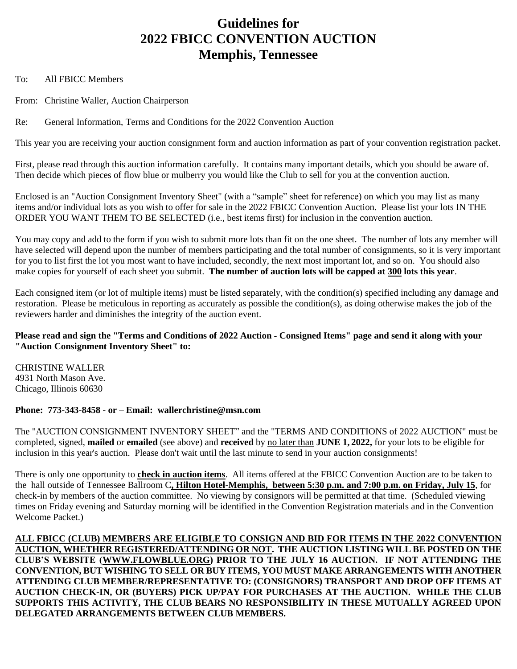# **Guidelines for 2022 FBICC CONVENTION AUCTION Memphis, Tennessee**

To: All FBICC Members

From: Christine Waller, Auction Chairperson

Re: General Information, Terms and Conditions for the 2022 Convention Auction

This year you are receiving your auction consignment form and auction information as part of your convention registration packet.

First, please read through this auction information carefully. It contains many important details, which you should be aware of. Then decide which pieces of flow blue or mulberry you would like the Club to sell for you at the convention auction.

Enclosed is an "Auction Consignment Inventory Sheet" (with a "sample" sheet for reference) on which you may list as many items and/or individual lots as you wish to offer for sale in the 2022 FBICC Convention Auction. Please list your lots IN THE ORDER YOU WANT THEM TO BE SELECTED (i.e., best items first) for inclusion in the convention auction.

You may copy and add to the form if you wish to submit more lots than fit on the one sheet. The number of lots any member will have selected will depend upon the number of members participating and the total number of consignments, so it is very important for you to list first the lot you most want to have included, secondly, the next most important lot, and so on. You should also make copies for yourself of each sheet you submit. **The number of auction lots will be capped at 300 lots this year**.

Each consigned item (or lot of multiple items) must be listed separately, with the condition(s) specified including any damage and restoration. Please be meticulous in reporting as accurately as possible the condition(s), as doing otherwise makes the job of the reviewers harder and diminishes the integrity of the auction event.

# **Please read and sign the "Terms and Conditions of 2022 Auction - Consigned Items" page and send it along with your "Auction Consignment Inventory Sheet" to:**

CHRISTINE WALLER 4931 North Mason Ave. Chicago, Illinois 60630

# **Phone: 773-343-8458 - or – Email: wallerchristine@msn.com**

The "AUCTION CONSIGNMENT INVENTORY SHEET" and the "TERMS AND CONDITIONS of 2022 AUCTION" must be completed, signed, **mailed** or **emailed** (see above) and **received** by no later than **JUNE 1, 2022,** for your lots to be eligible for inclusion in this year's auction. Please don't wait until the last minute to send in your auction consignments!

There is only one opportunity to **check in auction items**. All items offered at the FBICC Convention Auction are to be taken to the hall outside of Tennessee Ballroom C**, Hilton Hotel-Memphis, between 5:30 p.m. and 7:00 p.m. on Friday, July 15**, for check-in by members of the auction committee. No viewing by consignors will be permitted at that time. (Scheduled viewing times on Friday evening and Saturday morning will be identified in the Convention Registration materials and in the Convention Welcome Packet.)

**ALL FBICC (CLUB) MEMBERS ARE ELIGIBLE TO CONSIGN AND BID FOR ITEMS IN THE 2022 CONVENTION AUCTION, WHETHER REGISTERED/ATTENDING OR NOT. THE AUCTION LISTING WILL BE POSTED ON THE CLUB'S WEBSITE [\(WWW.FLOWBLUE.ORG\)](http://www.flowblue.org/) PRIOR TO THE JULY 16 AUCTION. IF NOT ATTENDING THE CONVENTION, BUT WISHING TO SELL OR BUY ITEMS, YOU MUST MAKE ARRANGEMENTS WITH ANOTHER ATTENDING CLUB MEMBER/REPRESENTATIVE TO: (CONSIGNORS) TRANSPORT AND DROP OFF ITEMS AT AUCTION CHECK-IN, OR (BUYERS) PICK UP/PAY FOR PURCHASES AT THE AUCTION. WHILE THE CLUB SUPPORTS THIS ACTIVITY, THE CLUB BEARS NO RESPONSIBILITY IN THESE MUTUALLY AGREED UPON DELEGATED ARRANGEMENTS BETWEEN CLUB MEMBERS.**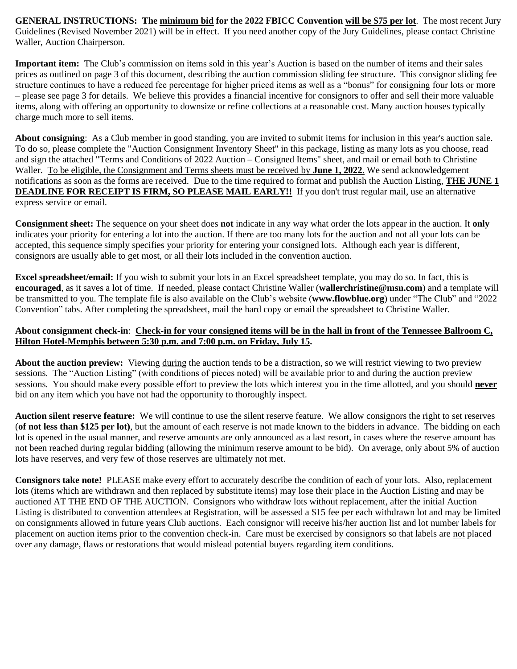**GENERAL INSTRUCTIONS: The minimum bid for the 2022 FBICC Convention will be \$75 per lot**. The most recent Jury Guidelines (Revised November 2021) will be in effect. If you need another copy of the Jury Guidelines, please contact Christine Waller, Auction Chairperson.

**Important item:** The Club's commission on items sold in this year's Auction is based on the number of items and their sales prices as outlined on page 3 of this document, describing the auction commission sliding fee structure. This consignor sliding fee structure continues to have a reduced fee percentage for higher priced items as well as a "bonus" for consigning four lots or more – please see page 3 for details. We believe this provides a financial incentive for consignors to offer and sell their more valuable items, along with offering an opportunity to downsize or refine collections at a reasonable cost. Many auction houses typically charge much more to sell items.

**About consigning**: As a Club member in good standing, you are invited to submit items for inclusion in this year's auction sale. To do so, please complete the "Auction Consignment Inventory Sheet" in this package, listing as many lots as you choose, read and sign the attached "Terms and Conditions of 2022 Auction – Consigned Items" sheet, and mail or email both to Christine Waller. To be eligible, the Consignment and Terms sheets must be received by **June 1, 2022**. We send acknowledgement notifications as soon as the forms are received. Due to the time required to format and publish the Auction Listing, **THE JUNE 1 DEADLINE FOR RECEIPT IS FIRM, SO PLEASE MAIL EARLY!!** If you don't trust regular mail, use an alternative express service or email.

**Consignment sheet:** The sequence on your sheet does **not** indicate in any way what order the lots appear in the auction. It **only** indicates your priority for entering a lot into the auction. If there are too many lots for the auction and not all your lots can be accepted, this sequence simply specifies your priority for entering your consigned lots. Although each year is different, consignors are usually able to get most, or all their lots included in the convention auction.

**Excel spreadsheet/email:** If you wish to submit your lots in an Excel spreadsheet template, you may do so. In fact, this is **encouraged**, as it saves a lot of time. If needed, please contact Christine Waller (**wallerchristine@msn.com**) and a template will be transmitted to you. The template file is also available on the Club's website (**www.flowblue.org**) under "The Club" and "2022 Convention" tabs. After completing the spreadsheet, mail the hard copy or email the spreadsheet to Christine Waller.

## **About consignment check-in**: **Check-in for your consigned items will be in the hall in front of the Tennessee Ballroom C, Hilton Hotel-Memphis between 5:30 p.m. and 7:00 p.m. on Friday, July 15.**

**About the auction preview:** Viewing during the auction tends to be a distraction, so we will restrict viewing to two preview sessions. The "Auction Listing" (with conditions of pieces noted) will be available prior to and during the auction preview sessions. You should make every possible effort to preview the lots which interest you in the time allotted, and you should **never** bid on any item which you have not had the opportunity to thoroughly inspect.

**Auction silent reserve feature:** We will continue to use the silent reserve feature. We allow consignors the right to set reserves (**of not less than \$125 per lot)**, but the amount of each reserve is not made known to the bidders in advance. The bidding on each lot is opened in the usual manner, and reserve amounts are only announced as a last resort, in cases where the reserve amount has not been reached during regular bidding (allowing the minimum reserve amount to be bid). On average, only about 5% of auction lots have reserves, and very few of those reserves are ultimately not met.

**Consignors take note!** PLEASE make every effort to accurately describe the condition of each of your lots. Also, replacement lots (items which are withdrawn and then replaced by substitute items) may lose their place in the Auction Listing and may be auctioned AT THE END OF THE AUCTION. Consignors who withdraw lots without replacement, after the initial Auction Listing is distributed to convention attendees at Registration, will be assessed a \$15 fee per each withdrawn lot and may be limited on consignments allowed in future years Club auctions. Each consignor will receive his/her auction list and lot number labels for placement on auction items prior to the convention check-in. Care must be exercised by consignors so that labels are not placed over any damage, flaws or restorations that would mislead potential buyers regarding item conditions.